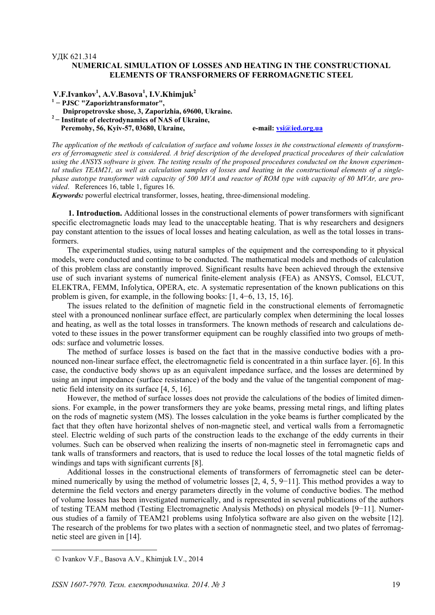## УДК 621.314

## **NUMERICAL SIMULATION OF LOSSES AND HEATING IN THE CONSTRUCTIONAL ELEMENTS OF TRANSFORMERS OF FERROMAGNETIC STEEL**

 **V.F.Ivankov1 , A.V.Basova<sup>1</sup> , I.V.Khimjuk<sup>2</sup> <sup>1</sup> − PJSC "Zaporizhtransformator", Dnipropetrovske shose, 3, Zaporizhia, 69600, Ukraine. <sup>2</sup>− Institute of electrodynamics of NAS of Ukraine,**  Peremohy, 56, Kyiv-57, 03680, Ukraine, e-mail: vsi@ied.org.ua

*The application of the methods of calculation of surface and volume losses in the constructional elements of transformers of ferromagnetic steel is considered. A brief description of the developed practical procedures of their calculation using the ANSYS software is given. The testing results of the proposed procedures conducted on the known experimental studies TEAM21, as well as calculation samples of losses and heating in the constructional elements of a singlephase autotype transformer with capacity of 500 MVA and reactor of ROM type with capacity of 80 MVAr, are provided*. References 16, table 1, figures 16.

*Keywords:* powerful electrical transformer, losses, heating, three-dimensional modeling.

**1. Introduction.** Additional losses in the constructional elements of power transformers with significant specific electromagnetic loads may lead to the unacceptable heating. That is why researchers and designers pay constant attention to the issues of local losses and heating calculation, as well as the total losses in transformers.

The experimental studies, using natural samples of the equipment and the corresponding to it physical models, were conducted and continue to be conducted. The mathematical models and methods of calculation of this problem class are constantly improved. Significant results have been achieved through the extensive use of such invariant systems of numerical finite-element analysis (FEA) as ANSYS, Comsol, ELCUT, ELEKTRA, FEMM, Infolytica, OPERA, etc. A systematic representation of the known publications on this problem is given, for example, in the following books: [1, 4−6, 13, 15, 16].

The issues related to the definition of magnetic field in the constructional elements of ferromagnetic steel with a pronounced nonlinear surface effect, are particularly complex when determining the local losses and heating, as well as the total losses in transformers. The known methods of research and calculations devoted to these issues in the power transformer equipment can be roughly classified into two groups of methods: surface and volumetric losses.

The method of surface losses is based on the fact that in the massive conductive bodies with a pronounced non-linear surface effect, the electromagnetic field is concentrated in a thin surface layer. [6]. In this case, the conductive body shows up as an equivalent impedance surface, and the losses are determined by using an input impedance (surface resistance) of the body and the value of the tangential component of magnetic field intensity on its surface [4, 5, 16].

However, the method of surface losses does not provide the calculations of the bodies of limited dimensions. For example, in the power transformers they are yoke beams, pressing metal rings, and lifting plates on the rods of magnetic system (MS). The losses calculation in the yoke beams is further complicated by the fact that they often have horizontal shelves of non-magnetic steel, and vertical walls from a ferromagnetic steel. Electric welding of such parts of the construction leads to the exchange of the eddy currents in their volumes. Such can be observed when realizing the inserts of non-magnetic steel in ferromagnetic caps and tank walls of transformers and reactors, that is used to reduce the local losses of the total magnetic fields of windings and taps with significant currents [8].

Additional losses in the constructional elements of transformers of ferromagnetic steel can be determined numerically by using the method of volumetric losses [2, 4, 5, 9−11]. This method provides a way to determine the field vectors and energy parameters directly in the volume of conductive bodies. The method of volume losses has been investigated numerically, and is represented in several publications of the authors of testing TEAM method (Testing Electromagnetic Analysis Methods) on physical models [9−11]. Numerous studies of a family of TEAM21 problems using Infolytica software are also given on the website [12]. The research of the problems for two plates with a section of nonmagnetic steel, and two plates of ferromagnetic steel are given in [14].

1

 <sup>©</sup> Ivankov V.F., Basova A.V., Khimjuk I.V., 2014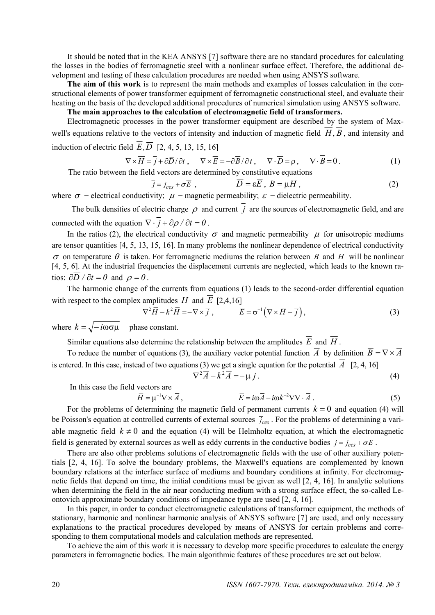It should be noted that in the KEA ANSYS [7] software there are no standard procedures for calculating the losses in the bodies of ferromagnetic steel with a nonlinear surface effect. Therefore, the additional development and testing of these calculation procedures are needed when using ANSYS software.

**The aim of this work** is to represent the main methods and examples of losses calculation in the constructional elements of power transformer equipment of ferromagnetic constructional steel, and evaluate their heating on the basis of the developed additional procedures of numerical simulation using ANSYS software.

# **The main approaches to the calculation of electromagnetic field of transformers.**

Electromagnetic processes in the power transformer equipment are described by the system of Maxwell's equations relative to the vectors of intensity and induction of magnetic field  $\overline{H}, \overline{B}$ , and intensity and induction of electric field  $\overline{E}$ ,  $\overline{D}$  [2, 4, 5, 13, 15, 16]

$$
\nabla \times \overline{H} = \overline{j} + \partial \overline{D} / \partial t , \qquad \nabla \times \overline{E} = -\partial \overline{B} / \partial t , \qquad \nabla \cdot \overline{D} = \rho , \qquad \nabla \cdot \overline{B} = 0 . \tag{1}
$$

The ratio between the field vectors are determined by constitutive equations

$$
\overline{j} = \overline{j}_{\text{ces}} + \sigma \overline{E} , \qquad \qquad \overline{D} = \varepsilon \overline{E} , \ \overline{B} = \mu \overline{H} , \tag{2}
$$

where  $\sigma$  – electrical conductivity;  $\mu$  – magnetic permeability;  $\varepsilon$  – dielectric permeability.

The bulk densities of electric charge  $\rho$  and current  $\overline{j}$  are the sources of electromagnetic field, and are connected with the equation  $\nabla \cdot \vec{i} + \frac{\partial \rho}{\partial t} = 0$ .

In the ratios (2), the electrical conductivity  $\sigma$  and magnetic permeability  $\mu$  for unisotropic mediums are tensor quantities [4, 5, 13, 15, 16]. In many problems the nonlinear dependence of electrical conductivity <sup>σ</sup> on temperature θ is taken. For ferromagnetic mediums the relation between *B* and *H* will be nonlinear [4, 5, 6]. At the industrial frequencies the displacement currents are neglected, which leads to the known ratios:  $\partial \overline{D} / \partial t = 0$  and  $\rho = 0$ .

The harmonic change of the currents from equations (1) leads to the second-order differential equation with respect to the complex amplitudes  $\overline{H}$  and  $\overline{E}$  [2,4,16]

$$
\nabla^2 \overline{H} - k^2 \overline{H} = -\nabla \times \overline{j} , \qquad \overline{E} = \sigma^{-1} \left( \nabla \times \overline{H} - \overline{j} \right), \tag{3}
$$

where  $k = \sqrt{-i\omega \sigma \mu}$  – phase constant.

Similar equations also determine the relationship between the amplitudes  $\overline{E}$  and  $\overline{H}$ .

To reduce the number of equations (3), the auxiliary vector potential function  $\overline{A}$  by definition  $\overline{B} = \nabla \times \overline{A}$ is entered. In this case, instead of two equations (3) we get a single equation for the potential  $\overline{A}$  [2, 4, 16]

$$
\nabla^2 \overline{A} - k^2 \overline{A} = -\mu \overline{j} \,. \tag{4}
$$

In this case the field vectors are

$$
\overline{H} = \mu^{-1} \nabla \times \overline{A}, \qquad \qquad \overline{E} = i \omega \overline{A} - i \omega k^{-2} \nabla \nabla \cdot \overline{A} \,. \tag{5}
$$

For the problems of determining the magnetic field of permanent currents  $k = 0$  and equation (4) will be Poisson's equation at controlled currents of external sources  $\bar{j}_{\text{c}es}$ . For the problems of determining a variable magnetic field  $k \neq 0$  and the equation (4) will be Helmholtz equation, at which the electromagnetic field is generated by external sources as well as eddy currents in the conductive bodies  $\overline{j} = \overline{j}_{ces} + \sigma \overline{E}$ .

There are also other problems solutions of electromagnetic fields with the use of other auxiliary potentials [2, 4, 16]. To solve the boundary problems, the Maxwell's equations are complemented by known boundary relations at the interface surface of mediums and boundary conditions at infinity. For electromagnetic fields that depend on time, the initial conditions must be given as well [2, 4, 16]. In analytic solutions when determining the field in the air near conducting medium with a strong surface effect, the so-called Leontovich approximate boundary conditions of impedance type are used [2, 4, 16].

In this paper, in order to conduct electromagnetic calculations of transformer equipment, the methods of stationary, harmonic and nonlinear harmonic analysis of ANSYS software [7] are used, and only necessary explanations to the practical procedures developed by means of ANSYS for certain problems and corresponding to them computational models and calculation methods are represented.

To achieve the aim of this work it is necessary to develop more specific procedures to calculate the energy parameters in ferromagnetic bodies. The main algorithmic features of these procedures are set out below.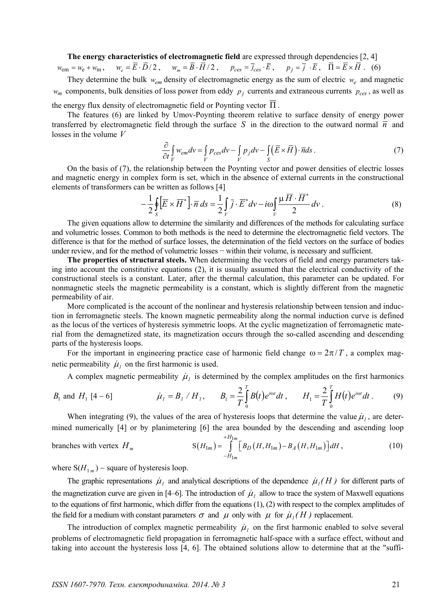## **The energy characteristics of electromagnetic field** are expressed through dependencies [2, 4]

$$
w_{\text{em}} = w_{\text{e}} + w_{\text{m}}, \quad w_e = \overline{E} \cdot \overline{D}/2 \,, \quad w_m = \overline{B} \cdot \overline{H}/2 \,, \quad p_{\text{ces}} = \overline{j}_{\text{ces}} \cdot \overline{E} \,, \quad p_j = \overline{j} \cdot \overline{E} \,, \quad \overline{\Pi} = \overline{E} \times \overline{H} \,. \tag{6}
$$

They determine the bulk *wem* density of electromagnetic energy as the sum of electric *we* and magnetic *w<sub>m</sub>* components, bulk densities of loss power from eddy  $p_j$  currents and extraneous currents  $p_{ces}$ , as well as

the energy flux density of electromagnetic field or Poynting vector  $\overline{\Pi}$ .

The features (6) are linked by Umov-Poynting theorem relative to surface density of energy power transferred by electromagnetic field through the surface *S* in the direction to the outward normal  $\overline{n}$  and losses in the volume *V*

$$
\frac{\partial}{\partial t} \int_{V} w_{em} dv = \int_{V} p_{ces} dv - \int_{V} p_{j} dv - \int_{S} (\overline{E} \times \overline{H}) \cdot \overline{n} ds. \tag{7}
$$

On the basis of (7), the relationship between the Poynting vector and power densities of electric losses and magnetic energy in complex form is set, which in the absence of external currents in the constructional elements of transformers can be written as follows [4]

$$
-\frac{1}{2}\oint_{S}\left[\overline{E}\times\overline{H}^{*}\right]\cdot\overline{n}\,ds=\frac{1}{2}\int_{V}\overline{j}\cdot\overline{E}^{*}dv-i\omega\int_{V}\frac{\mu\,\overline{H}\cdot\overline{H}^{*}}{2}dv.
$$
\n(8)

The given equations allow to determine the similarity and differences of the methods for calculating surface and volumetric losses. Common to both methods is the need to determine the electromagnetic field vectors. The difference is that for the method of surface losses, the determination of the field vectors on the surface of bodies under review, and for the method of volumetric losses − within their volume, is necessary and sufficient.

**The properties of structural steels.** When determining the vectors of field and energy parameters taking into account the constitutive equations (2), it is usually assumed that the electrical conductivity of the constructional steels is a constant. Later, after the thermal calculation, this parameter can be updated. For nonmagnetic steels the magnetic permeability is a constant, which is slightly different from the magnetic permeability of air.

More complicated is the account of the nonlinear and hysteresis relationship between tension and induction in ferromagnetic steels. The known magnetic permeability along the normal induction curve is defined as the locus of the vertices of hysteresis symmetric loops. At the cyclic magnetization of ferromagnetic material from the demagnetized state, its magnetization occurs through the so-called ascending and descending parts of the hysteresis loops.

For the important in engineering practice case of harmonic field change  $\omega = 2\pi/T$ , a complex magnetic permeability  $\mu_1$  on the first harmonic is used.

A complex magnetic permeability  $\mu_l$  is determined by the complex amplitudes on the first harmonics

$$
B_1 \text{ and } H_1 [4-6] \qquad \dot{\mu}_1 = B_1 / H_1, \qquad B_1 = \frac{2}{T} \int_0^T B(t) e^{i\omega t} dt \, , \qquad H_1 = \frac{2}{T} \int_0^T H(t) e^{i\omega t} dt \, . \tag{9}
$$

When integrating (9), the values of the area of hysteresis loops that determine the value  $\mu_1$ , are determined numerically [4] or by planimetering [6] the area bounded by the descending and ascending loop

branches with vertex 
$$
H_m
$$
 
$$
S(H_{1m}) = \int_{-H_{1m}}^{+H_{1m}} \left[ B_D(H, H_{1m}) - B_A(H, H_{1m}) \right] dH,
$$
 (10)

where  $S(H_{1m})$  – square of hysteresis loop.

The graphic representations  $\mu_1$  and analytical descriptions of the dependence  $\mu_1(H)$  for different parts of the magnetization curve are given in [4–6]. The introduction of  $\mu_1$  allow to trace the system of Maxwell equations to the equations of first harmonic, which differ from the equations (1), (2) with respect to the complex amplitudes of the field for a medium with constant parameters  $\sigma$  and  $\mu$  only with  $\mu$  for  $\mu$ <sub>*l*</sub> *(H)* replacement.

The introduction of complex magnetic permeability  $\mu_l$  on the first harmonic enabled to solve several problems of electromagnetic field propagation in ferromagnetic half-space with a surface effect, without and taking into account the hysteresis loss [4, 6]. The obtained solutions allow to determine that at the "suffi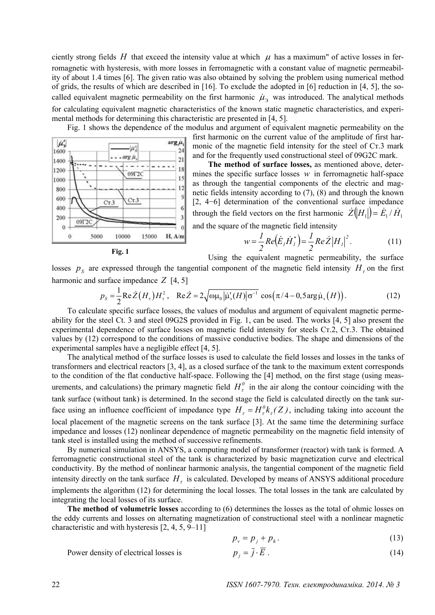ciently strong fields *H* that exceed the intensity value at which  $\mu$  has a maximum" of active losses in ferromagnetic with hysteresis, with more losses in ferromagnetic with a constant value of magnetic permeability of about 1.4 times [6]. The given ratio was also obtained by solving the problem using numerical method of grids, the results of which are described in [16]. To exclude the adopted in [6] reduction in [4, 5], the socalled equivalent magnetic permeability on the first harmonic  $\mu_2$  was introduced. The analytical methods for calculating equivalent magnetic characteristics of the known static magnetic characteristics, and experimental methods for determining this characteristic are presented in [4, 5].

 $|\mu'$  $arg \mu$ Ìù',  $24$ 1600 arg ji,  $^{21}$ 1400 18 1200  $09T2C$ 15 1000  $12$ 800  $\overline{9}$ 600  $Cr3$  $Cr3$ 6 400 ă 200  $09<sup>T</sup>2$  $\theta$ 'n H, A/m  $\theta$ 5000 10000 15000

Fig. 1 shows the dependence of the modulus and argument of equivalent magnetic permeability on the first harmonic on the current value of the amplitude of first harmonic of the magnetic field intensity for the steel of Cт.3 mark and for the frequently used constructional steel of 09G2C mark.

> **The method of surface losses,** as mentioned above, determines the specific surface losses *w* in ferromagnetic half-space as through the tangential components of the electric and magnetic fields intensity according to (7), (8) and through the known [2, 4−6] determination of the conventional surface impedance through the field vectors on the first harmonic  $\dot{Z}(|H_1|) = \dot{E}_1 / \dot{H}_1$ and the square of the magnetic field intensity

 $w = \frac{1}{2}Re(\dot{E}_I\dot{H}_I^*) = \frac{1}{2}Re\,\dot{Z}\left|H_I\right|^2$  $\int_{I}^{R} \dot{H}_{I}^{*}$  $= \frac{1}{2}$   $Re\ \dot{Z}$  $H$  $Re(\dot{E}_I \dot{H}_I^*) = \frac{I}{I}$ *2*  $w = \frac{1}{2}Re(\dot{E}_i \dot{H}_i^*) = \frac{1}{2}Re\dot{Z}|H_i|^2$ . (11)

$$
Fig. 1
$$

Using the equivalent magnetic permeability, the surface

losses  $p<sub>s</sub>$  are expressed through the tangential component of the magnetic field intensity  $H<sub>z</sub>$  on the first harmonic and surface impedance *Z* [4, 5]

$$
p_{s} = \frac{1}{2} \text{Re} \dot{Z}(H_{\tau}) H_{\tau}^{2}, \quad \text{Re} \dot{Z} = 2 \sqrt{\omega \mu_{0} |\dot{\mu}_{s}'(H)| \sigma^{-1}} \cos(\pi/4 - 0.5 \text{arg} \dot{\mu}_{s}(H)).
$$
 (12)

To calculate specific surface losses, the values of modulus and argument of equivalent magnetic permeability for the steel Ct. 3 and steel 09G2S provided in Fig. 1, can be used. The works [4, 5] also present the experimental dependence of surface losses on magnetic field intensity for steels Cт.2, Cт.3. The obtained values by (12) correspond to the conditions of massive conductive bodies. The shape and dimensions of the experimental samples have a negligible effect [4, 5].

The analytical method of the surface losses is used to calculate the field losses and losses in the tanks of transformers and electrical reactors [3, 4], as a closed surface of the tank to the maximum extent corresponds to the condition of the flat conductive half-space. Following the [4] method, on the first stage (using measurements, and calculations) the primary magnetic field  $H_r^0$  in the air along the contour coinciding with the tank surface (without tank) is determined. In the second stage the field is calculated directly on the tank surface using an influence coefficient of impedance type  $H_{\tau} = H_{\tau}^{0} k_{\tau}(Z)$ , including taking into account the local placement of the magnetic screens on the tank surface [3]. At the same time the determining surface impedance and losses (12) nonlinear dependence of magnetic permeability on the magnetic field intensity of tank steel is installed using the method of successive refinements.

By numerical simulation in ANSYS, a computing model of transformer (reactor) with tank is formed. A ferromagnetic constructional steel of the tank is characterized by basic magnetization curve and electrical conductivity. By the method of nonlinear harmonic analysis, the tangential component of the magnetic field intensity directly on the tank surface  $H<sub>r</sub>$  is calculated. Developed by means of ANSYS additional procedure implements the algorithm (12) for determining the local losses. The total losses in the tank are calculated by integrating the local losses of its surface.

**The method of volumetric losses** according to (6) determines the losses as the total of ohmic losses on the eddy currents and losses on alternating magnetization of constructional steel with a nonlinear magnetic characteristic and with hysteresis [2, 4, 5, 9–11]

$$
p_v = p_j + p_h. \tag{13}
$$

Power density of electrical losses is 
$$
p_i = \bar{j} \cdot \bar{E} \tag{14}
$$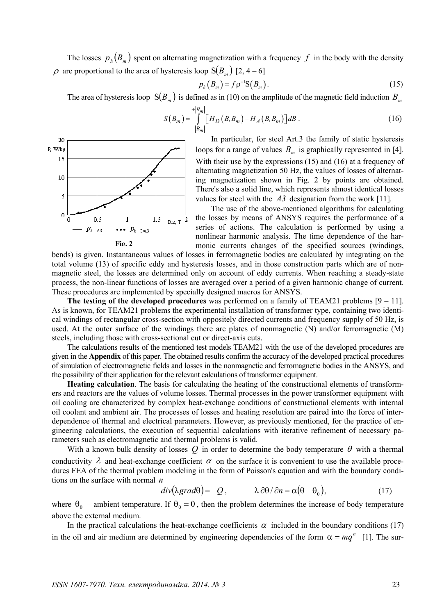The losses  $p_h ( B_m )$  spent on alternating magnetization with a frequency  $f$  in the body with the density  $\rho$  are proportional to the area of hysteresis loop  $S(B_m)$  [2, 4 – 6]

$$
p_h(B_m) = f \rho^{-1} S(B_m). \tag{15}
$$

The area of hysteresis loop  $S(B_m)$  is defined as in (10) on the amplitude of the magnetic field induction  $B_m$ 

$$
S(B_m) = \int_{-|B_m|}^{+|B_m|} [H_D(B, B_m) - H_A(B, B_m)]dB .
$$
 (16)



In particular, for steel Art.3 the family of static hysteresis loops for a range of values  $B_m$  is graphically represented in [4]. With their use by the expressions (15) and (16) at a frequency of alternating magnetization 50 Hz, the values of losses of alternating magnetization shown in Fig. 2 by points are obtained. There's also a solid line, which represents almost identical losses values for steel with the *A3* designation from the work [11].

The use of the above-mentioned algorithms for calculating the losses by means of ANSYS requires the performance of a series of actions. The calculation is performed by using a nonlinear harmonic analysis. The time dependence of the harmonic currents changes of the specified sources (windings,

bends) is given. Instantaneous values of losses in ferromagnetic bodies are calculated by integrating on the total volume (13) of specific eddy and hysteresis losses, and in those construction parts which are of nonmagnetic steel, the losses are determined only on account of eddy currents. When reaching a steady-state process, the non-linear functions of losses are averaged over a period of a given harmonic change of current. These procedures are implemented by specially designed macros for ANSYS.

**The testing of the developed procedures** was performed on a family of TEAM21 problems [9 – 11]. As is known, for TEAM21 problems the experimental installation of transformer type, containing two identical windings of rectangular cross-section with oppositely directed currents and frequency supply of 50 Hz, is used. At the outer surface of the windings there are plates of nonmagnetic (N) and/or ferromagnetic (M) steels, including those with cross-sectional cut or direct-axis cuts.

The calculations results of the mentioned test models TEAM21 with the use of the developed procedures are given in the **Appendix** of this paper. The obtained results confirm the accuracy of the developed practical procedures of simulation of electromagnetic fields and losses in the nonmagnetic and ferromagnetic bodies in the ANSYS, and the possibility of their application for the relevant calculations of transformer equipment.

**Heating calculation**. The basis for calculating the heating of the constructional elements of transformers and reactors are the values of volume losses. Thermal processes in the power transformer equipment with oil cooling are characterized by complex heat-exchange conditions of constructional elements with internal oil coolant and ambient air. The processes of losses and heating resolution are paired into the force of interdependence of thermal and electrical parameters. However, as previously mentioned, for the practice of engineering calculations, the execution of sequential calculations with iterative refinement of necessary parameters such as electromagnetic and thermal problems is valid.

With a known bulk density of losses  $Q$  in order to determine the body temperature  $\theta$  with a thermal conductivity  $\lambda$  and heat-exchange coefficient  $\alpha$  on the surface it is convenient to use the available procedures FEA of the thermal problem modeling in the form of Poisson's equation and with the boundary conditions on the surface with normal *n*

$$
div(\lambda grad\theta) = -Q, \qquad -\lambda \partial\theta / \partial n = \alpha(\theta - \theta_0), \qquad (17)
$$

where  $\theta_0$  – ambient temperature. If  $\theta_0 = 0$ , then the problem determines the increase of body temperature above the external medium.

In the practical calculations the heat-exchange coefficients  $\alpha$  included in the boundary conditions (17) in the oil and air medium are determined by engineering dependencies of the form  $\alpha = mq^n$  [1]. The sur-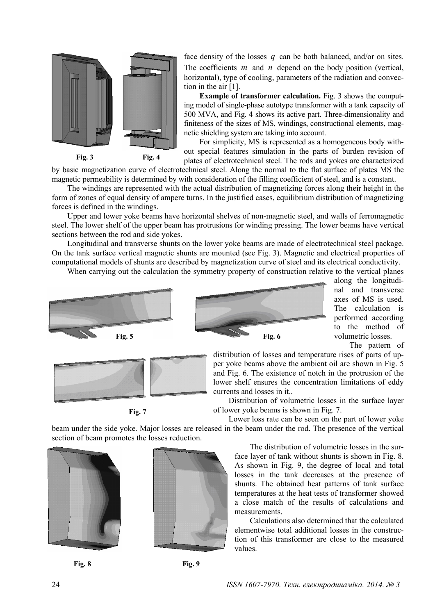

face density of the losses *q* can be both balanced, and/or on sites. The coefficients *m* and *n* depend on the body position (vertical, horizontal), type of cooling, parameters of the radiation and convection in the air [1].

**Example of transformer calculation.** Fig. 3 shows the computing model of single-phase autotype transformer with a tank capacity of 500 MVA, and Fig. 4 shows its active part. Three-dimensionality and finiteness of the sizes of MS, windings, constructional elements, magnetic shielding system are taking into account.

For simplicity, MS is represented as a homogeneous body without special features simulation in the parts of burden revision of plates of electrotechnical steel. The rods and yokes are characterized

by basic magnetization curve of electrotechnical steel. Along the normal to the flat surface of plates MS the

magnetic permeability is determined by with consideration of the filling coefficient of steel, and is a constant.

The windings are represented with the actual distribution of magnetizing forces along their height in the form of zones of equal density of ampere turns. In the justified cases, equilibrium distribution of magnetizing forces is defined in the windings.

Upper and lower yoke beams have horizontal shelves of non-magnetic steel, and walls of ferromagnetic steel. The lower shelf of the upper beam has protrusions for winding pressing. The lower beams have vertical sections between the rod and side yokes.

Longitudinal and transverse shunts on the lower yoke beams are made of electrotechnical steel package. On the tank surface vertical magnetic shunts are mounted (see Fig. 3). Magnetic and electrical properties of computational models of shunts are described by magnetization curve of steel and its electrical conductivity.

When carrying out the calculation the symmetry property of construction relative to the vertical planes





along the longitudinal and transverse axes of MS is used. The calculation is performed according to the method of volumetric losses. The pattern of



**Fig. 7** 

distribution of losses and temperature rises of parts of upper yoke beams above the ambient oil are shown in Fig. 5 and Fig. 6. The existence of notch in the protrusion of the lower shelf ensures the concentration limitations of eddy currents and losses in it..

Distribution of volumetric losses in the surface layer of lower yoke beams is shown in Fig. 7.

Lower loss rate can be seen on the part of lower yoke beam under the side yoke. Major losses are released in the beam under the rod. The presence of the vertical section of beam promotes the losses reduction.







The distribution of volumetric losses in the surface layer of tank without shunts is shown in Fig. 8. As shown in Fig. 9, the degree of local and total losses in the tank decreases at the presence of shunts. The obtained heat patterns of tank surface temperatures at the heat tests of transformer showed a close match of the results of calculations and measurements.

Calculations also determined that the calculated elementwise total additional losses in the construction of this transformer are close to the measured values.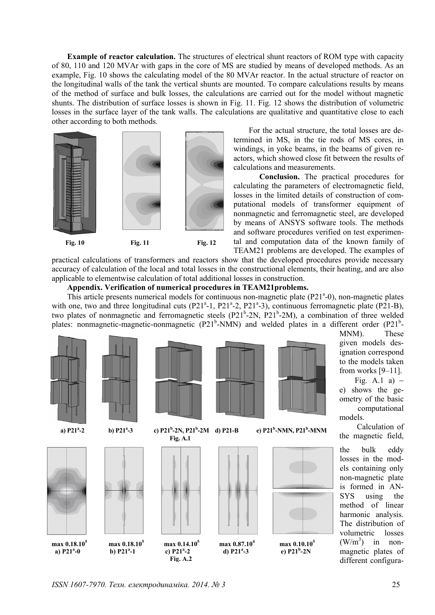**Example of reactor calculation.** The structures of electrical shunt reactors of ROM type with capacity of 80, 110 and 120 MVAr with gaps in the core of MS are studied by means of developed methods. As an example, Fig. 10 shows the calculating model of the 80 MVAr reactor. In the actual structure of reactor on the longitudinal walls of the tank the vertical shunts are mounted. To compare calculations results by means of the method of surface and bulk losses, the calculations are carried out for the model without magnetic shunts. The distribution of surface losses is shown in Fig. 11. Fig. 12 shows the distribution of volumetric losses in the surface layer of the tank walls. The calculations are qualitative and quantitative close to each other according to both methods.



For the actual structure, the total losses are determined in MS, in the tie rods of MS cores, in windings, in yoke beams, in the beams of given reactors, which showed close fit between the results of calculations and measurements.

**Conclusion.** The practical procedures for calculating the parameters of electromagnetic field, losses in the limited details of construction of computational models of transformer equipment of nonmagnetic and ferromagnetic steel, are developed by means of ANSYS software tools. The methods and software procedures verified on test experimental and computation data of the known family of TEAM21 problems are developed. The examples of

practical calculations of transformers and reactors show that the developed procedures provide necessary accuracy of calculation of the local and total losses in the constructional elements, their heating, and are also applicable to elementwise calculation of total additional losses in construction.

## **Appendix. Verification of numerical procedures in TEAM21problems.**

This article presents numerical models for continuous non-magnetic plate  $(P21<sup>a</sup>-0)$ , non-magnetic plates with one, two and three longitudinal cuts ( $P21^a$ -1,  $P21^a$ -2,  $P21^a$ -3), continuous ferromagnetic plate ( $P21$ -B), two plates of nonmagnetic and ferromagnetic steels (P21<sup>b</sup>-2N, P21<sup>b</sup>-2M), a combination of three welded plates: nonmagnetic-magnetic-nonmagnetic  $(P21<sup>b</sup>-NMN)$  and welded plates in a different order  $(P21<sup>b</sup>-NMN)$ 



MNM). These given models designation correspond to the models taken from works [9–11].

Fig. A.1 a)  $$ e) shows the geometry of the basic computational models.

Calculation of the magnetic field,

the bulk eddy losses in the models containing only non-magnetic plate is formed in AN-SYS using the method of linear harmonic analysis. The distribution of volumetric losses  $(W/m^3)$ ) in nonmagnetic plates of different configura-

*ISSN 1607-7970. Техн. електродинаміка. 2014. № 3* 25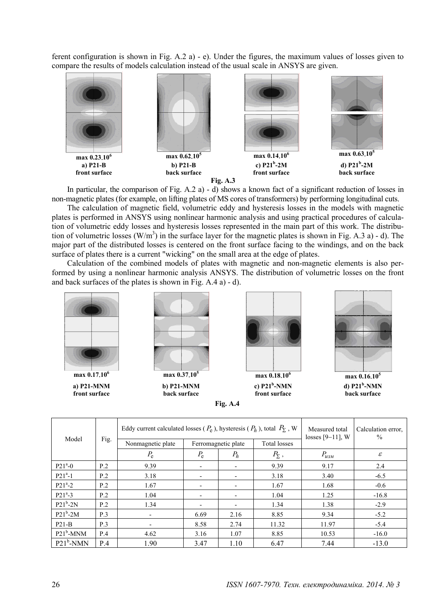ferent configuration is shown in Fig. A.2 a) - e). Under the figures, the maximum values of losses given to compare the results of models calculation instead of the usual scale in ANSYS are given.





In particular, the comparison of Fig. A.2 a) - d) shows a known fact of a significant reduction of losses in non-magnetic plates (for example, on lifting plates of MS cores of transformers) by performing longitudinal cuts.

The calculation of magnetic field, volumetric eddy and hysteresis losses in the models with magnetic plates is performed in ANSYS using nonlinear harmonic analysis and using practical procedures of calculation of volumetric eddy losses and hysteresis losses represented in the main part of this work. The distribution of volumetric losses  $(W/m<sup>3</sup>)$  in the surface layer for the magnetic plates is shown in Fig. A.3 a) - d). The major part of the distributed losses is centered on the front surface facing to the windings, and on the back surface of plates there is a current "wicking" on the small area at the edge of plates.

Calculation of the combined models of plates with magnetic and non-magnetic elements is also performed by using a nonlinear harmonic analysis ANSYS. The distribution of volumetric losses on the front and back surfaces of the plates is shown in Fig. A.4 a) - d).







**d) P21<sup>b</sup> -NMN back surface**

| Model        | Fig. | Eddy current calculated losses ( $P_e$ ), hysteresis ( $P_h$ ), total $P_{\Sigma}$ , W<br>Total losses<br>Nonmagnetic plate<br>Ferromagnetic plate |             |                          |                | Measured total<br>losses $[9-11]$ , W | Calculation error.<br>$\frac{0}{0}$ |
|--------------|------|----------------------------------------------------------------------------------------------------------------------------------------------------|-------------|--------------------------|----------------|---------------------------------------|-------------------------------------|
|              |      | $P_{\rm e}$                                                                                                                                        | $P_{\rm e}$ | $P_h$                    | $P_{\Sigma}$ , | $P_{u3M}$                             | $\mathcal E$                        |
| $P21^a - 0$  | P.2  | 9.39                                                                                                                                               |             | $\overline{\phantom{a}}$ | 9.39           | 9.17                                  | 2.4                                 |
| $P21^a-1$    | P.2  | 3.18                                                                                                                                               |             | $\overline{\phantom{0}}$ | 3.18           | 3.40                                  | $-6.5$                              |
| $P21^a - 2$  | P.2  | 1.67                                                                                                                                               |             | $\overline{\phantom{a}}$ | 1.67           | 1.68                                  | $-0.6$                              |
| $P21^a - 3$  | P.2  | 1.04                                                                                                                                               |             |                          | 1.04           | 1.25                                  | $-16.8$                             |
| $P21^b-2N$   | P.2  | 1.34                                                                                                                                               |             | $\overline{\phantom{0}}$ | 1.34           | 1.38                                  | $-2.9$                              |
| $P21b-2M$    | P.3  | $\overline{\phantom{0}}$                                                                                                                           | 6.69        | 2.16                     | 8.85           | 9.34                                  | $-5.2$                              |
| $P21-B$      | P.3  |                                                                                                                                                    | 8.58        | 2.74                     | 11.32          | 11.97                                 | $-5.4$                              |
| $P21^b$ -MNM | P.4  | 4.62                                                                                                                                               | 3.16        | 1.07                     | 8.85           | 10.53                                 | $-16.0$                             |
| $P21^b$ -NMN | P.4  | 1.90                                                                                                                                               | 3.47        | 1.10                     | 6.47           | 7.44                                  | $-13.0$                             |